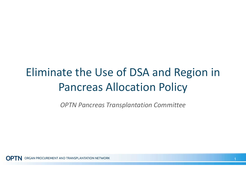# Eliminate the Use of DSA and Region in Pancreas Allocation Policy

OPTN Pancreas Transplantation Committee

**OPTN** ORGAN PROCUREMENT AND TRANSPLANTATION NETWORK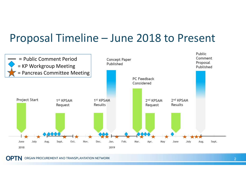### Proposal Timeline – June 2018 to Present



**OPTN** ORGAN PROCUREMENT AND TRANSPLANTATION NETWORK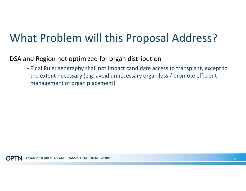### What Problem will this Proposal Address?

DSA and Region not optimized for organ distribution

 Final Rule: geography shall not impact candidate access to transplant, except to the extent necessary (e.g. avoid unnecessary organ loss / promote efficient management of organ placement)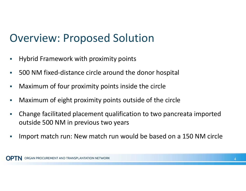### Overview: Proposed Solution

- **-** Hybrid Framework with proximity points
- **500 NM fixed-distance circle around the donor hospital**
- **Maximum of four proximity points inside the circle**
- **Maximum of eight proximity points outside of the circle**
- Change facilitated placement qualification to two pancreata imported outside 500 NM in previous two years
- **Import match run: New match run would be based on a 150 NM circle**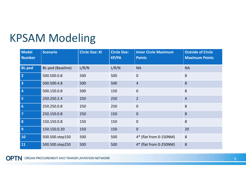### KPSAM Modeling

| <b>Model</b><br><b>Number</b> | <b>Scenario</b>   | <b>Circle Size: KI</b> | <b>Circle Size:</b><br><b>KP/PA</b> | <b>Inner Circle Maximum</b><br><b>Points</b> | <b>Outside of Circle</b><br><b>Maximum Points</b> |
|-------------------------------|-------------------|------------------------|-------------------------------------|----------------------------------------------|---------------------------------------------------|
| <b>BL-ped</b>                 | BL-ped (Baseline) | L/R/N                  | L/R/N                               | <b>NA</b>                                    | <b>NA</b>                                         |
| $\overline{2}$                | 500.500.0.8       | 500                    | 500                                 | $\mathbf 0$                                  | 8                                                 |
| $\overline{\mathbf{3}}$       | 500.500.4.8       | 500                    | 500                                 | $\overline{4}$                               | 8                                                 |
| $\overline{4}$                | 500.150.0.8       | 500                    | 150                                 | $\mathbf 0$                                  | 8                                                 |
| 5                             | 250.250.2.4       | 250                    | 250                                 | $\overline{2}$                               | $\overline{4}$                                    |
| $6\phantom{1}6$               | 250.250.0.8       | 250                    | 250                                 | $\overline{0}$                               | 8                                                 |
| $\overline{\mathbf{z}}$       | 250.150.0.8       | 250                    | 150                                 | $\overline{0}$                               | 8                                                 |
| 8                             | 150.150.0.8       | 150                    | 150                                 | $\mathbf 0$                                  | 8                                                 |
| 9                             | 150.150.0.20      | 150                    | 150                                 | $\mathbf 0$                                  | 20                                                |
| 10                            | 500.500.step150   | 500                    | 500                                 | 4* (flat from 0-150NM)                       | 8                                                 |
| 11                            | 500.500.step250   | 500                    | 500                                 | 4* (flat from 0-250NM)                       | 8                                                 |

**OPTN** ORGAN PROCUREMENT AND TRANSPLANTATION NETWORK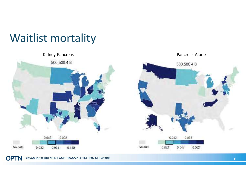### Waitlist mortality

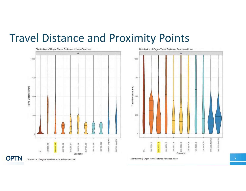### Travel Distance and Proximity Points





Distribution of Organ Travel Distance, Kidney-Pancreas

Distribution of Organ Travel Distance, Pancreas-Alone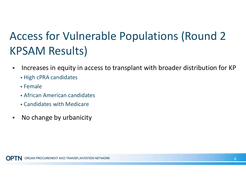# Access for Vulnerable Populations (Round 2 KPSAM Results)

- Increases in equity in access to transplant with broader distribution for KP
	- High cPRA candidates
	- Female
	- African American candidates
	- Candidates with Medicare
- **No change by urbanicity**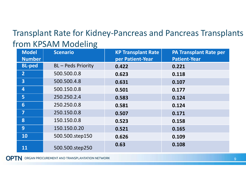#### Transplant Rate for Kidney-Pancreas and Pancreas Transplants from KPSAM Modeling

| <b>Model</b><br><b>Number</b> | <b>Scenario</b>         | <b>KP Transplant Rate</b><br>per Patient-Year | <b>PA Transplant Rate per</b><br><b>Patient-Year</b> |
|-------------------------------|-------------------------|-----------------------------------------------|------------------------------------------------------|
| <b>BL-ped</b>                 | <b>BL-Peds Priority</b> | 0.422                                         | 0.221                                                |
| $\overline{2}$                | 500.500.0.8             | 0.623                                         | 0.118                                                |
| $\overline{3}$                | 500.500.4.8             | 0.631                                         | 0.107                                                |
| 4                             | 500.150.0.8             | 0.501                                         | 0.177                                                |
| 5                             | 250.250.2.4             | 0.583                                         | 0.124                                                |
| 6                             | 250.250.0.8             | 0.581                                         | 0.124                                                |
| $\overline{7}$                | 250.150.0.8             | 0.507                                         | 0.171                                                |
| 8                             | 150.150.0.8             | 0.523                                         | 0.158                                                |
| 9                             | 150.150.0.20            | 0.521                                         | 0.165                                                |
| <b>10</b>                     | 500.500.step150         | 0.626                                         | 0.109                                                |
| 11                            | 500.500.step250         | 0.63                                          | 0.108                                                |

**OPTN** ORGAN PROCUREMENT AND TRANSPLANTATION NETWORK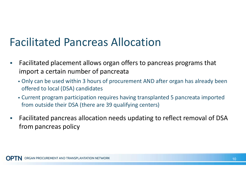### Facilitated Pancreas Allocation

- **Facilitated placement allows organ offers to pancreas programs that**  import a certain number of pancreata
	- Only can be used within 3 hours of procurement AND after organ has already been offered to local (DSA) candidates
	- Current program participation requires having transplanted 5 pancreata imported from outside their DSA (there are 39 qualifying centers)
- Facilitated pancreas allocation needs updating to reflect removal of DSA from pancreas policy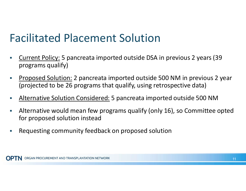### Facilitated Placement Solution

- Current Policy: 5 pancreata imported outside DSA in previous 2 years (39 programs qualify)
- **Proposed Solution: 2 pancreata imported outside 500 NM in previous 2 year** (projected to be 26 programs that qualify, using retrospective data)
- Alternative Solution Considered: 5 pancreata imported outside 500 NM
- Alternative would mean few programs qualify (only 16), so Committee opted for proposed solution instead
- **-** Requesting community feedback on proposed solution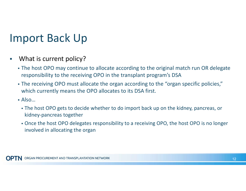### Import Back Up

- **What is current policy?** 
	- The host OPO may continue to allocate according to the original match run OR delegate responsibility to the receiving OPO in the transplant program's DSA
	- The receiving OPO must allocate the organ according to the "organ specific policies," which currently means the OPO allocates to its DSA first.
	- Also…
		- The host OPO gets to decide whether to do import back up on the kidney, pancreas, or kidney-pancreas together
		- Once the host OPO delegates responsibility to a receiving OPO, the host OPO is no longer involved in allocating the organ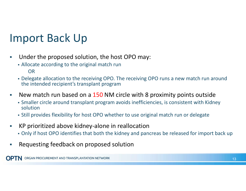### Import Back Up

- **Under the proposed solution, the host OPO may:** 
	- Allocate according to the original match run OR
	- Delegate allocation to the receiving OPO. The receiving OPO runs a new match run around the intended recipient's transplant program
- New match run based on a 150 NM circle with 8 proximity points outside
	- Smaller circle around transplant program avoids inefficiencies, is consistent with Kidney solution
	- Still provides flexibility for host OPO whether to use original match run or delegate
- KP prioritized above kidney-alone in reallocation
	- Only if host OPO identifies that both the kidney and pancreas be released for import back up
- **Requesting feedback on proposed solution**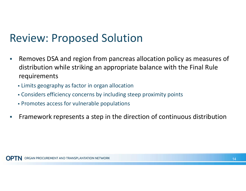### Review: Proposed Solution

- **Removes DSA and region from pancreas allocation policy as measures of**  distribution while striking an appropriate balance with the Final Rule requirements
	- Limits geography as factor in organ allocation
	- Considers efficiency concerns by including steep proximity points
	- Promotes access for vulnerable populations
- **Framework represents a step in the direction of continuous distribution**